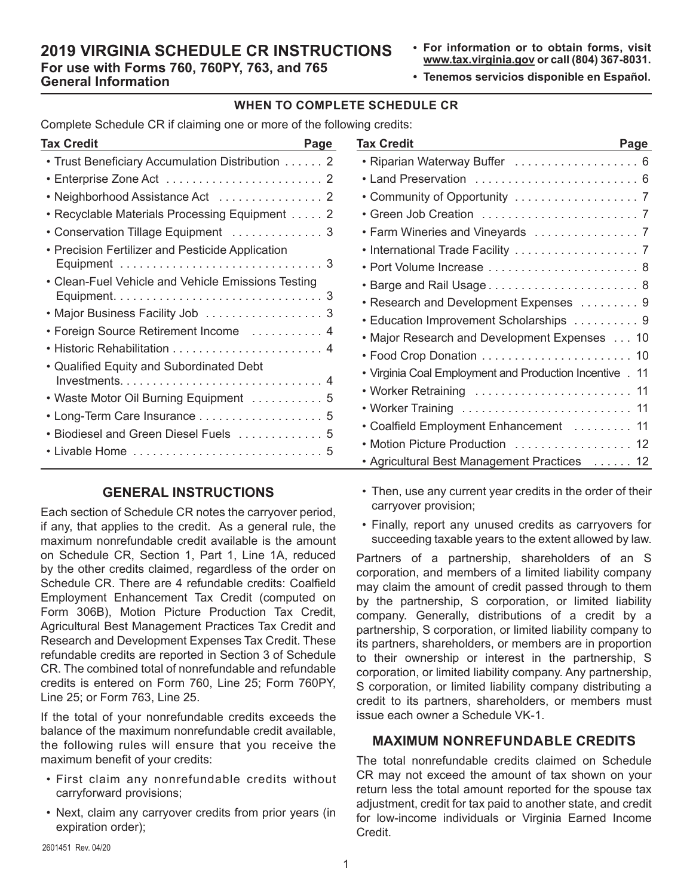## **2019 VIRGINIA SCHEDULE CR INSTRUCTIONS For use with Forms 760, 760PY, 763, and 765 General Information**

- **• For information or to obtain forms, visit www.tax.virginia.gov or call (804) 367-8031.**
- **• Tenemos servicios disponible en Español.**

# **WHEN TO COMPLETE SCHEDULE CR**

Complete Schedule CR if claiming one or more of the following credits:

| Tax Credit<br>Page                                    |
|-------------------------------------------------------|
| • Trust Beneficiary Accumulation Distribution 2       |
| ٠                                                     |
| • Neighborhood Assistance Act  2                      |
| Recyclable Materials Processing Equipment 2           |
| Conservation Tillage Equipment  3                     |
| <b>Precision Fertilizer and Pesticide Application</b> |
|                                                       |
| • Clean-Fuel Vehicle and Vehicle Emissions Testing    |
|                                                       |
| • Major Business Facility Job  3                      |
| • Foreign Source Retirement Income  4                 |
|                                                       |
| • Qualified Equity and Subordinated Debt              |
|                                                       |
| • Waste Motor Oil Burning Equipment  5                |
| • Long-Term Care Insurance 5                          |
| Biodiesel and Green Diesel Fuels  5                   |
|                                                       |

# **GENERAL INSTRUCTIONS**

Each section of Schedule CR notes the carryover period, if any, that applies to the credit. As a general rule, the maximum nonrefundable credit available is the amount on Schedule CR, Section 1, Part 1, Line 1A, reduced by the other credits claimed, regardless of the order on Schedule CR. There are 4 refundable credits: Coalfield Employment Enhancement Tax Credit (computed on Form 306B), Motion Picture Production Tax Credit, Agricultural Best Management Practices Tax Credit and Research and Development Expenses Tax Credit. These refundable credits are reported in Section 3 of Schedule CR. The combined total of nonrefundable and refundable credits is entered on Form 760, Line 25; Form 760PY, Line 25; or Form 763, Line 25.

If the total of your nonrefundable credits exceeds the balance of the maximum nonrefundable credit available, the following rules will ensure that you receive the maximum benefit of your credits:

- First claim any nonrefundable credits without carryforward provisions;
- Next, claim any carryover credits from prior years (in expiration order);

| Tax Credit<br>Page<br><u> 1989 - Johann Barn, mars ann an t-Amhair ann an t-Amhair an t-Amhair ann an t-Amhair an t-Amhair ann an t-A</u> |
|-------------------------------------------------------------------------------------------------------------------------------------------|
| • Riparian Waterway Buffer  6                                                                                                             |
| • Land Preservation  6                                                                                                                    |
|                                                                                                                                           |
|                                                                                                                                           |
|                                                                                                                                           |
|                                                                                                                                           |
| • Port Volume Increase  8                                                                                                                 |
|                                                                                                                                           |
| • Research and Development Expenses 9                                                                                                     |
| • Education Improvement Scholarships 9                                                                                                    |
| • Major Research and Development Expenses  10                                                                                             |
|                                                                                                                                           |
| • Virginia Coal Employment and Production Incentive . 11                                                                                  |
| • Worker Retraining  11                                                                                                                   |
| • Worker Training  11                                                                                                                     |
| • Coalfield Employment Enhancement  11                                                                                                    |
| Motion Picture Production  12                                                                                                             |
| • Agricultural Best Management Practices  12                                                                                              |

- Then, use any current year credits in the order of their carryover provision;
- Finally, report any unused credits as carryovers for succeeding taxable years to the extent allowed by law.

Partners of a partnership, shareholders of an S corporation, and members of a limited liability company may claim the amount of credit passed through to them by the partnership, S corporation, or limited liability company. Generally, distributions of a credit by a partnership, S corporation, or limited liability company to its partners, shareholders, or members are in proportion to their ownership or interest in the partnership, S corporation, or limited liability company. Any partnership, S corporation, or limited liability company distributing a credit to its partners, shareholders, or members must issue each owner a Schedule VK-1.

## **MAXIMUM NONREFUNDABLE CREDITS**

The total nonrefundable credits claimed on Schedule CR may not exceed the amount of tax shown on your return less the total amount reported for the spouse tax adjustment, credit for tax paid to another state, and credit for low-income individuals or Virginia Earned Income Credit.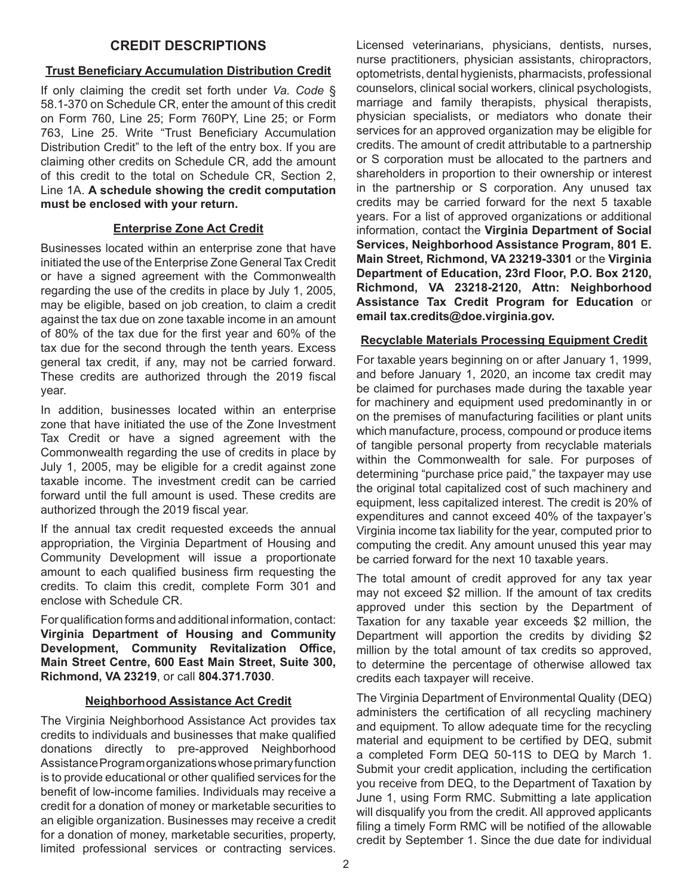# **CREDIT DESCRIPTIONS**

## **Trust Beneficiary Accumulation Distribution Credit**

If only claiming the credit set forth under *Va. Code* § 58.1-370 on Schedule CR, enter the amount of this credit on Form 760, Line 25; Form 760PY, Line 25; or Form 763, Line 25. Write "Trust Beneficiary Accumulation Distribution Credit" to the left of the entry box. If you are claiming other credits on Schedule CR, add the amount of this credit to the total on Schedule CR, Section 2, Line 1A. **A schedule showing the credit computation must be enclosed with your return.**

## **Enterprise Zone Act Credit**

Businesses located within an enterprise zone that have initiated the use of the Enterprise Zone General Tax Credit or have a signed agreement with the Commonwealth regarding the use of the credits in place by July 1, 2005, may be eligible, based on job creation, to claim a credit against the tax due on zone taxable income in an amount of 80% of the tax due for the first year and 60% of the tax due for the second through the tenth years. Excess general tax credit, if any, may not be carried forward. These credits are authorized through the 2019 fiscal year.

In addition, businesses located within an enterprise zone that have initiated the use of the Zone Investment Tax Credit or have a signed agreement with the Commonwealth regarding the use of credits in place by July 1, 2005, may be eligible for a credit against zone taxable income. The investment credit can be carried forward until the full amount is used. These credits are authorized through the 2019 fiscal year.

If the annual tax credit requested exceeds the annual appropriation, the Virginia Department of Housing and Community Development will issue a proportionate amount to each qualified business firm requesting the credits. To claim this credit, complete Form 301 and enclose with Schedule CR.

For qualification forms and additional information, contact: **Virginia Department of Housing and Community Development, Community Revitalization Office, Main Street Centre, 600 East Main Street, Suite 300, Richmond, VA 23219**, or call **804.371.7030**.

## **Neighborhood Assistance Act Credit**

The Virginia Neighborhood Assistance Act provides tax credits to individuals and businesses that make qualified donations directly to pre-approved Neighborhood Assistance Program organizations whose primary function is to provide educational or other qualified services for the benefit of low-income families. Individuals may receive a credit for a donation of money or marketable securities to an eligible organization. Businesses may receive a credit for a donation of money, marketable securities, property, limited professional services or contracting services.

Licensed veterinarians, physicians, dentists, nurses, nurse practitioners, physician assistants, chiropractors, optometrists, dental hygienists, pharmacists, professional counselors, clinical social workers, clinical psychologists, marriage and family therapists, physical therapists, physician specialists, or mediators who donate their services for an approved organization may be eligible for credits. The amount of credit attributable to a partnership or S corporation must be allocated to the partners and shareholders in proportion to their ownership or interest in the partnership or S corporation. Any unused tax credits may be carried forward for the next 5 taxable years. For a list of approved organizations or additional information, contact the **Virginia Department of Social Services, Neighborhood Assistance Program, 801 E. Main Street, Richmond, VA 23219-3301** or the **Virginia Department of Education, 23rd Floor, P.O. Box 2120, Richmond, VA 23218-2120, Attn: Neighborhood Assistance Tax Credit Program for Education** or **email tax.credits@doe.virginia.gov.**

## **Recyclable Materials Processing Equipment Credit**

For taxable years beginning on or after January 1, 1999, and before January 1, 2020, an income tax credit may be claimed for purchases made during the taxable year for machinery and equipment used predominantly in or on the premises of manufacturing facilities or plant units which manufacture, process, compound or produce items of tangible personal property from recyclable materials within the Commonwealth for sale. For purposes of determining "purchase price paid," the taxpayer may use the original total capitalized cost of such machinery and equipment, less capitalized interest. The credit is 20% of expenditures and cannot exceed 40% of the taxpayer's Virginia income tax liability for the year, computed prior to computing the credit. Any amount unused this year may be carried forward for the next 10 taxable years.

The total amount of credit approved for any tax year may not exceed \$2 million. If the amount of tax credits approved under this section by the Department of Taxation for any taxable year exceeds \$2 million, the Department will apportion the credits by dividing \$2 million by the total amount of tax credits so approved, to determine the percentage of otherwise allowed tax credits each taxpayer will receive.

The Virginia Department of Environmental Quality (DEQ) administers the certification of all recycling machinery and equipment. To allow adequate time for the recycling material and equipment to be certified by DEQ, submit a completed Form DEQ 50-11S to DEQ by March 1. Submit your credit application, including the certification you receive from DEQ, to the Department of Taxation by June 1, using Form RMC. Submitting a late application will disqualify you from the credit. All approved applicants filing a timely Form RMC will be notified of the allowable credit by September 1. Since the due date for individual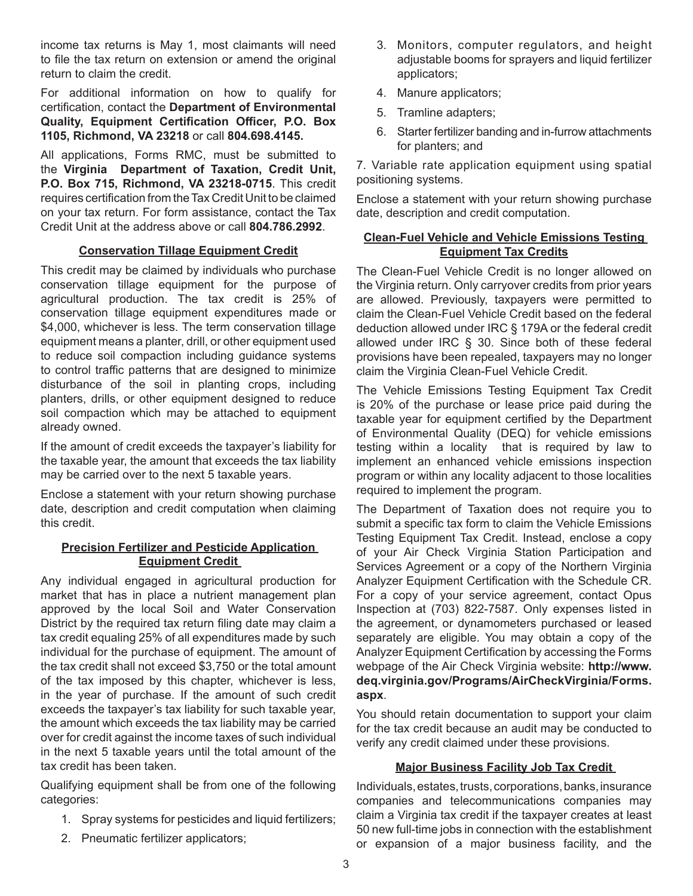income tax returns is May 1, most claimants will need to file the tax return on extension or amend the original return to claim the credit.

For additional information on how to qualify for certification, contact the **Department of Environmental Quality, Equipment Certification Officer, P.O. Box 1105, Richmond, VA 23218** or call **804.698.4145.**

All applications, Forms RMC, must be submitted to the **Virginia Department of Taxation, Credit Unit, P.O. Box 715, Richmond, VA 23218-0715**. This credit requires certification from the Tax Credit Unit to be claimed on your tax return. For form assistance, contact the Tax Credit Unit at the address above or call **804.786.2992**.

## **Conservation Tillage Equipment Credit**

This credit may be claimed by individuals who purchase conservation tillage equipment for the purpose of agricultural production. The tax credit is 25% of conservation tillage equipment expenditures made or \$4,000, whichever is less. The term conservation tillage equipment means a planter, drill, or other equipment used to reduce soil compaction including guidance systems to control traffic patterns that are designed to minimize disturbance of the soil in planting crops, including planters, drills, or other equipment designed to reduce soil compaction which may be attached to equipment already owned.

If the amount of credit exceeds the taxpayer's liability for the taxable year, the amount that exceeds the tax liability may be carried over to the next 5 taxable years.

Enclose a statement with your return showing purchase date, description and credit computation when claiming this credit.

## **Precision Fertilizer and Pesticide Application Equipment Credit**

Any individual engaged in agricultural production for market that has in place a nutrient management plan approved by the local Soil and Water Conservation District by the required tax return filing date may claim a tax credit equaling 25% of all expenditures made by such individual for the purchase of equipment. The amount of the tax credit shall not exceed \$3,750 or the total amount of the tax imposed by this chapter, whichever is less, in the year of purchase. If the amount of such credit exceeds the taxpayer's tax liability for such taxable year, the amount which exceeds the tax liability may be carried over for credit against the income taxes of such individual in the next 5 taxable years until the total amount of the tax credit has been taken.

Qualifying equipment shall be from one of the following categories:

- 1. Spray systems for pesticides and liquid fertilizers;
- 2. Pneumatic fertilizer applicators;
- 3. Monitors, computer regulators, and height adjustable booms for sprayers and liquid fertilizer applicators;
- 4. Manure applicators;
- 5. Tramline adapters;
- 6. Starter fertilizer banding and in-furrow attachments for planters; and

7. Variable rate application equipment using spatial positioning systems.

Enclose a statement with your return showing purchase date, description and credit computation.

## **Clean-Fuel Vehicle and Vehicle Emissions Testing Equipment Tax Credits**

The Clean-Fuel Vehicle Credit is no longer allowed on the Virginia return. Only carryover credits from prior years are allowed. Previously, taxpayers were permitted to claim the Clean-Fuel Vehicle Credit based on the federal deduction allowed under IRC § 179A or the federal credit allowed under IRC § 30. Since both of these federal provisions have been repealed, taxpayers may no longer claim the Virginia Clean-Fuel Vehicle Credit.

The Vehicle Emissions Testing Equipment Tax Credit is 20% of the purchase or lease price paid during the taxable year for equipment certified by the Department of Environmental Quality (DEQ) for vehicle emissions testing within a locality that is required by law to implement an enhanced vehicle emissions inspection program or within any locality adjacent to those localities required to implement the program.

The Department of Taxation does not require you to submit a specific tax form to claim the Vehicle Emissions Testing Equipment Tax Credit. Instead, enclose a copy of your Air Check Virginia Station Participation and Services Agreement or a copy of the Northern Virginia Analyzer Equipment Certification with the Schedule CR. For a copy of your service agreement, contact Opus Inspection at (703) 822-7587. Only expenses listed in the agreement, or dynamometers purchased or leased separately are eligible. You may obtain a copy of the Analyzer Equipment Certification by accessing the Forms webpage of the Air Check Virginia website: **http://www. deq.virginia.gov/Programs/AirCheckVirginia/Forms. aspx**.

You should retain documentation to support your claim for the tax credit because an audit may be conducted to verify any credit claimed under these provisions.

#### **Major Business Facility Job Tax Credit**

Individuals, estates, trusts, corporations, banks, insurance companies and telecommunications companies may claim a Virginia tax credit if the taxpayer creates at least 50 new full-time jobs in connection with the establishment or expansion of a major business facility, and the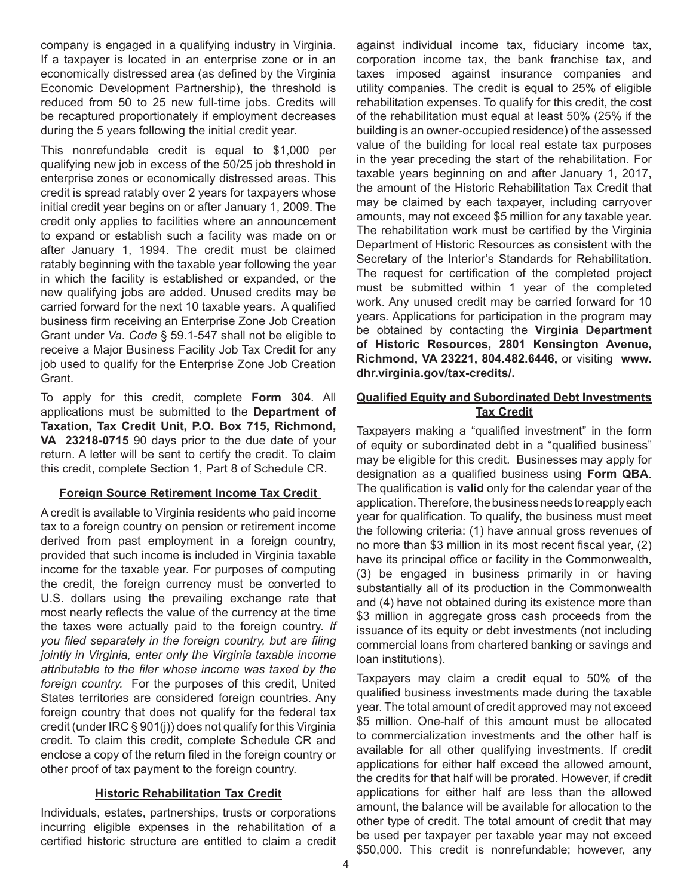company is engaged in a qualifying industry in Virginia. If a taxpayer is located in an enterprise zone or in an economically distressed area (as defined by the Virginia Economic Development Partnership), the threshold is reduced from 50 to 25 new full-time jobs. Credits will be recaptured proportionately if employment decreases during the 5 years following the initial credit year.

This nonrefundable credit is equal to \$1,000 per qualifying new job in excess of the 50/25 job threshold in enterprise zones or economically distressed areas. This credit is spread ratably over 2 years for taxpayers whose initial credit year begins on or after January 1, 2009. The credit only applies to facilities where an announcement to expand or establish such a facility was made on or after January 1, 1994. The credit must be claimed ratably beginning with the taxable year following the year in which the facility is established or expanded, or the new qualifying jobs are added. Unused credits may be carried forward for the next 10 taxable years. A qualified business firm receiving an Enterprise Zone Job Creation Grant under *Va. Code* § 59.1-547 shall not be eligible to receive a Major Business Facility Job Tax Credit for any job used to qualify for the Enterprise Zone Job Creation Grant.

To apply for this credit, complete **Form 304**. All applications must be submitted to the **Department of Taxation, Tax Credit Unit, P.O. Box 715, Richmond, VA 23218-0715** 90 days prior to the due date of your return. A letter will be sent to certify the credit. To claim this credit, complete Section 1, Part 8 of Schedule CR.

## **Foreign Source Retirement Income Tax Credit**

A credit is available to Virginia residents who paid income tax to a foreign country on pension or retirement income derived from past employment in a foreign country, provided that such income is included in Virginia taxable income for the taxable year. For purposes of computing the credit, the foreign currency must be converted to U.S. dollars using the prevailing exchange rate that most nearly reflects the value of the currency at the time the taxes were actually paid to the foreign country. *If you filed separately in the foreign country, but are filing jointly in Virginia, enter only the Virginia taxable income attributable to the filer whose income was taxed by the foreign country.* For the purposes of this credit, United States territories are considered foreign countries. Any foreign country that does not qualify for the federal tax credit (under IRC § 901(j)) does not qualify for this Virginia credit. To claim this credit, complete Schedule CR and enclose a copy of the return filed in the foreign country or other proof of tax payment to the foreign country.

## **Historic Rehabilitation Tax Credit**

Individuals, estates, partnerships, trusts or corporations incurring eligible expenses in the rehabilitation of a certified historic structure are entitled to claim a credit against individual income tax, fiduciary income tax, corporation income tax, the bank franchise tax, and taxes imposed against insurance companies and utility companies. The credit is equal to 25% of eligible rehabilitation expenses. To qualify for this credit, the cost of the rehabilitation must equal at least 50% (25% if the building is an owner-occupied residence) of the assessed value of the building for local real estate tax purposes in the year preceding the start of the rehabilitation. For taxable years beginning on and after January 1, 2017, the amount of the Historic Rehabilitation Tax Credit that may be claimed by each taxpayer, including carryover amounts, may not exceed \$5 million for any taxable year. The rehabilitation work must be certified by the Virginia Department of Historic Resources as consistent with the Secretary of the Interior's Standards for Rehabilitation. The request for certification of the completed project must be submitted within 1 year of the completed work. Any unused credit may be carried forward for 10 years. Applications for participation in the program may be obtained by contacting the **Virginia Department of Historic Resources, 2801 Kensington Avenue, Richmond, VA 23221, 804.482.6446,** or visiting **www. dhr.virginia.gov/tax-credits/.** 

## **Qualified Equity and Subordinated Debt Investments Tax Credit**

Taxpayers making a "qualified investment" in the form of equity or subordinated debt in a "qualified business" may be eligible for this credit. Businesses may apply for designation as a qualified business using **Form QBA**. The qualification is **valid** only for the calendar year of the application. Therefore, the business needs to reapply each year for qualification. To qualify, the business must meet the following criteria: (1) have annual gross revenues of no more than \$3 million in its most recent fiscal year, (2) have its principal office or facility in the Commonwealth, (3) be engaged in business primarily in or having substantially all of its production in the Commonwealth and (4) have not obtained during its existence more than \$3 million in aggregate gross cash proceeds from the issuance of its equity or debt investments (not including commercial loans from chartered banking or savings and loan institutions).

Taxpayers may claim a credit equal to 50% of the qualified business investments made during the taxable year. The total amount of credit approved may not exceed \$5 million. One-half of this amount must be allocated to commercialization investments and the other half is available for all other qualifying investments. If credit applications for either half exceed the allowed amount, the credits for that half will be prorated. However, if credit applications for either half are less than the allowed amount, the balance will be available for allocation to the other type of credit. The total amount of credit that may be used per taxpayer per taxable year may not exceed \$50,000. This credit is nonrefundable; however, any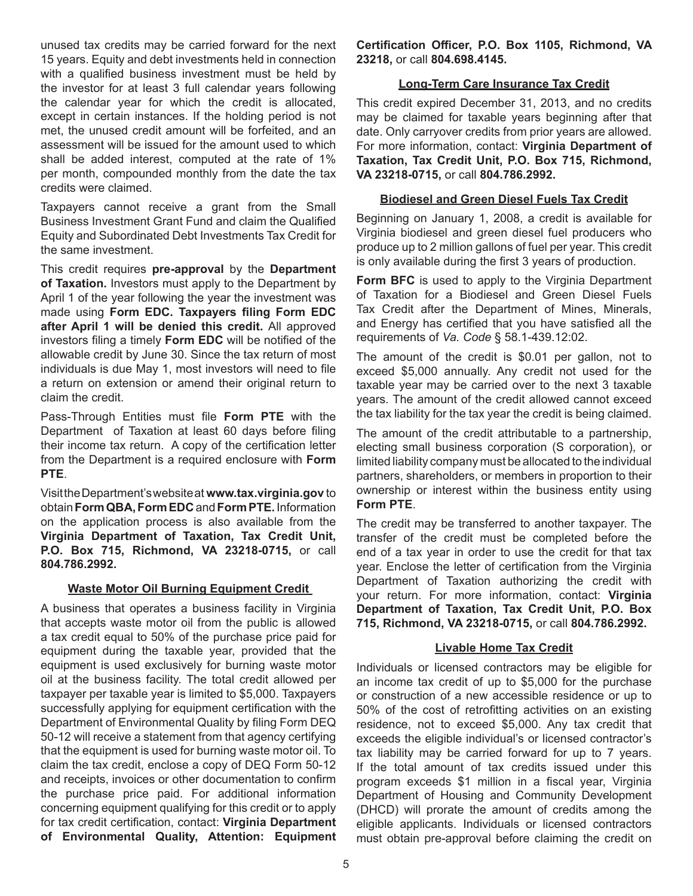unused tax credits may be carried forward for the next 15 years. Equity and debt investments held in connection with a qualified business investment must be held by the investor for at least 3 full calendar years following the calendar year for which the credit is allocated, except in certain instances. If the holding period is not met, the unused credit amount will be forfeited, and an assessment will be issued for the amount used to which shall be added interest, computed at the rate of 1% per month, compounded monthly from the date the tax credits were claimed.

Taxpayers cannot receive a grant from the Small Business Investment Grant Fund and claim the Qualified Equity and Subordinated Debt Investments Tax Credit for the same investment.

This credit requires **pre-approval** by the **Department of Taxation.** Investors must apply to the Department by April 1 of the year following the year the investment was made using **Form EDC. Taxpayers filing Form EDC after April 1 will be denied this credit.** All approved investors filing a timely **Form EDC** will be notified of the allowable credit by June 30. Since the tax return of most individuals is due May 1, most investors will need to file a return on extension or amend their original return to claim the credit.

Pass-Through Entities must file **Form PTE** with the Department of Taxation at least 60 days before filing their income tax return. A copy of the certification letter from the Department is a required enclosure with **Form PTE**.

Visit the Department's website at **www.tax.virginia.gov** to obtain **Form QBA,Form EDC** and **Form PTE.** Information on the application process is also available from the **Virginia Department of Taxation, Tax Credit Unit, P.O. Box 715, Richmond, VA 23218-0715,** or call **804.786.2992.**

## **Waste Motor Oil Burning Equipment Credit**

A business that operates a business facility in Virginia that accepts waste motor oil from the public is allowed a tax credit equal to 50% of the purchase price paid for equipment during the taxable year, provided that the equipment is used exclusively for burning waste motor oil at the business facility. The total credit allowed per taxpayer per taxable year is limited to \$5,000. Taxpayers successfully applying for equipment certification with the Department of Environmental Quality by filing Form DEQ 50-12 will receive a statement from that agency certifying that the equipment is used for burning waste motor oil. To claim the tax credit, enclose a copy of DEQ Form 50-12 and receipts, invoices or other documentation to confirm the purchase price paid. For additional information concerning equipment qualifying for this credit or to apply for tax credit certification, contact: **Virginia Department of Environmental Quality, Attention: Equipment** 

**Certification Officer, P.O. Box 1105, Richmond, VA 23218,** or call **804.698.4145.**

## **Long-Term Care Insurance Tax Credit**

This credit expired December 31, 2013, and no credits may be claimed for taxable years beginning after that date. Only carryover credits from prior years are allowed. For more information, contact: **Virginia Department of Taxation, Tax Credit Unit, P.O. Box 715, Richmond, VA 23218-0715,** or call **804.786.2992.**

### **Biodiesel and Green Diesel Fuels Tax Credit**

Beginning on January 1, 2008, a credit is available for Virginia biodiesel and green diesel fuel producers who produce up to 2 million gallons of fuel per year. This credit is only available during the first 3 years of production.

**Form BFC** is used to apply to the Virginia Department of Taxation for a Biodiesel and Green Diesel Fuels Tax Credit after the Department of Mines, Minerals, and Energy has certified that you have satisfied all the requirements of *Va. Code* § 58.1-439.12:02.

The amount of the credit is \$0.01 per gallon, not to exceed \$5,000 annually. Any credit not used for the taxable year may be carried over to the next 3 taxable years. The amount of the credit allowed cannot exceed the tax liability for the tax year the credit is being claimed.

The amount of the credit attributable to a partnership, electing small business corporation (S corporation), or limited liability company must be allocated to the individual partners, shareholders, or members in proportion to their ownership or interest within the business entity using **Form PTE**.

The credit may be transferred to another taxpayer. The transfer of the credit must be completed before the end of a tax year in order to use the credit for that tax year. Enclose the letter of certification from the Virginia Department of Taxation authorizing the credit with your return. For more information, contact: **Virginia Department of Taxation, Tax Credit Unit, P.O. Box 715, Richmond, VA 23218-0715,** or call **804.786.2992.**

#### **Livable Home Tax Credit**

Individuals or licensed contractors may be eligible for an income tax credit of up to \$5,000 for the purchase or construction of a new accessible residence or up to 50% of the cost of retrofitting activities on an existing residence, not to exceed \$5,000. Any tax credit that exceeds the eligible individual's or licensed contractor's tax liability may be carried forward for up to 7 years. If the total amount of tax credits issued under this program exceeds \$1 million in a fiscal year, Virginia Department of Housing and Community Development (DHCD) will prorate the amount of credits among the eligible applicants. Individuals or licensed contractors must obtain pre-approval before claiming the credit on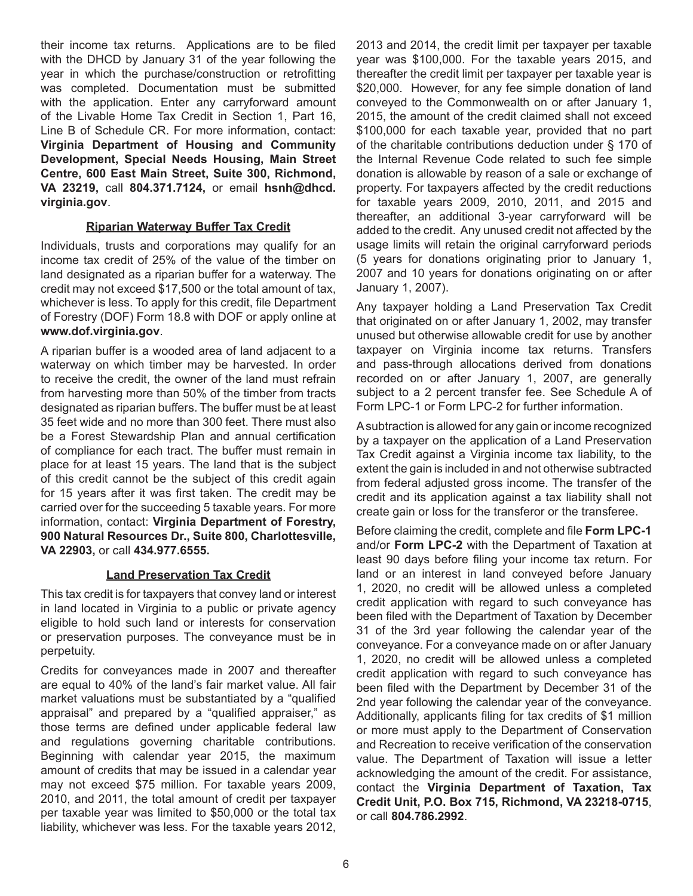their income tax returns. Applications are to be filed with the DHCD by January 31 of the year following the year in which the purchase/construction or retrofitting was completed. Documentation must be submitted with the application. Enter any carryforward amount of the Livable Home Tax Credit in Section 1, Part 16, Line B of Schedule CR. For more information, contact: **Virginia Department of Housing and Community Development, Special Needs Housing, Main Street Centre, 600 East Main Street, Suite 300, Richmond, VA 23219,** call **804.371.7124,** or email **hsnh@dhcd. virginia.gov**.

## **Riparian Waterway Buffer Tax Credit**

Individuals, trusts and corporations may qualify for an income tax credit of 25% of the value of the timber on land designated as a riparian buffer for a waterway. The credit may not exceed \$17,500 or the total amount of tax, whichever is less. To apply for this credit, file Department of Forestry (DOF) Form 18.8 with DOF or apply online at **www.dof.virginia.gov**.

A riparian buffer is a wooded area of land adjacent to a waterway on which timber may be harvested. In order to receive the credit, the owner of the land must refrain from harvesting more than 50% of the timber from tracts designated as riparian buffers. The buffer must be at least 35 feet wide and no more than 300 feet. There must also be a Forest Stewardship Plan and annual certification of compliance for each tract. The buffer must remain in place for at least 15 years. The land that is the subject of this credit cannot be the subject of this credit again for 15 years after it was first taken. The credit may be carried over for the succeeding 5 taxable years. For more information, contact: **Virginia Department of Forestry, 900 Natural Resources Dr., Suite 800, Charlottesville, VA 22903,** or call **434.977.6555.** 

# **Land Preservation Tax Credit**

This tax credit is for taxpayers that convey land or interest in land located in Virginia to a public or private agency eligible to hold such land or interests for conservation or preservation purposes. The conveyance must be in perpetuity.

Credits for conveyances made in 2007 and thereafter are equal to 40% of the land's fair market value. All fair market valuations must be substantiated by a "qualified appraisal" and prepared by a "qualified appraiser," as those terms are defined under applicable federal law and regulations governing charitable contributions. Beginning with calendar year 2015, the maximum amount of credits that may be issued in a calendar year may not exceed \$75 million. For taxable years 2009, 2010, and 2011, the total amount of credit per taxpayer per taxable year was limited to \$50,000 or the total tax liability, whichever was less. For the taxable years 2012,

2013 and 2014, the credit limit per taxpayer per taxable year was \$100,000. For the taxable years 2015, and thereafter the credit limit per taxpayer per taxable year is \$20,000. However, for any fee simple donation of land conveyed to the Commonwealth on or after January 1, 2015, the amount of the credit claimed shall not exceed \$100,000 for each taxable year, provided that no part of the charitable contributions deduction under § 170 of the Internal Revenue Code related to such fee simple donation is allowable by reason of a sale or exchange of property. For taxpayers affected by the credit reductions for taxable years 2009, 2010, 2011, and 2015 and thereafter, an additional 3-year carryforward will be added to the credit. Any unused credit not affected by the usage limits will retain the original carryforward periods (5 years for donations originating prior to January 1, 2007 and 10 years for donations originating on or after January 1, 2007).

Any taxpayer holding a Land Preservation Tax Credit that originated on or after January 1, 2002, may transfer unused but otherwise allowable credit for use by another taxpayer on Virginia income tax returns. Transfers and pass-through allocations derived from donations recorded on or after January 1, 2007, are generally subject to a 2 percent transfer fee. See Schedule A of Form LPC-1 or Form LPC-2 for further information.

A subtraction is allowed for any gain or income recognized by a taxpayer on the application of a Land Preservation Tax Credit against a Virginia income tax liability, to the extent the gain is included in and not otherwise subtracted from federal adjusted gross income. The transfer of the credit and its application against a tax liability shall not create gain or loss for the transferor or the transferee.

Before claiming the credit, complete and file **Form LPC-1**  and/or **Form LPC-2** with the Department of Taxation at least 90 days before filing your income tax return. For land or an interest in land conveyed before January 1, 2020, no credit will be allowed unless a completed credit application with regard to such conveyance has been filed with the Department of Taxation by December 31 of the 3rd year following the calendar year of the conveyance. For a conveyance made on or after January 1, 2020, no credit will be allowed unless a completed credit application with regard to such conveyance has been filed with the Department by December 31 of the 2nd year following the calendar year of the conveyance. Additionally, applicants filing for tax credits of \$1 million or more must apply to the Department of Conservation and Recreation to receive verification of the conservation value. The Department of Taxation will issue a letter acknowledging the amount of the credit. For assistance, contact the **Virginia Department of Taxation, Tax Credit Unit, P.O. Box 715, Richmond, VA 23218-0715**, or call **804.786.2992**.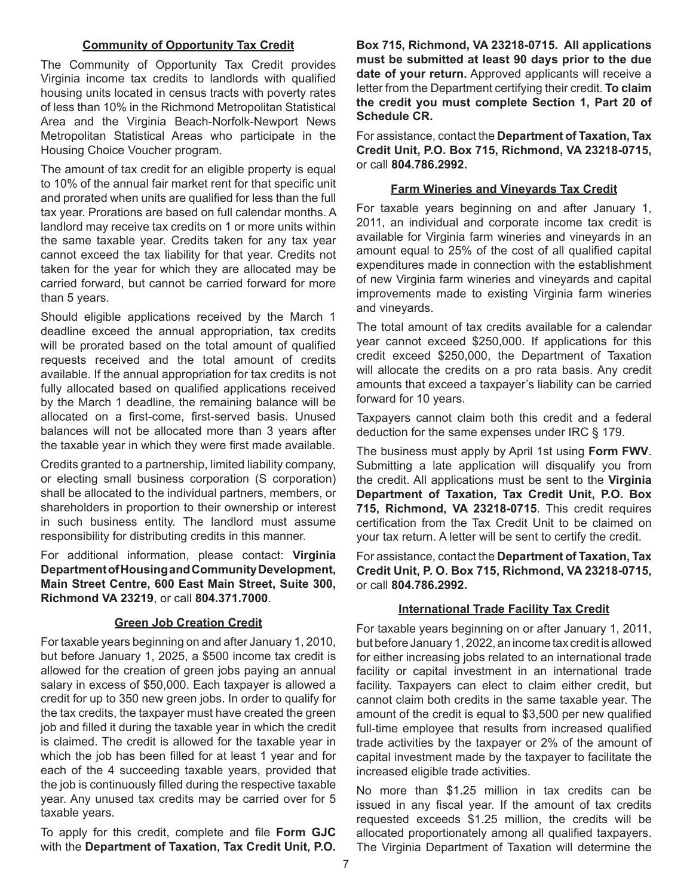### **Community of Opportunity Tax Credit**

The Community of Opportunity Tax Credit provides Virginia income tax credits to landlords with qualified housing units located in census tracts with poverty rates of less than 10% in the Richmond Metropolitan Statistical Area and the Virginia Beach-Norfolk-Newport News Metropolitan Statistical Areas who participate in the Housing Choice Voucher program.

The amount of tax credit for an eligible property is equal to 10% of the annual fair market rent for that specific unit and prorated when units are qualified for less than the full tax year. Prorations are based on full calendar months. A landlord may receive tax credits on 1 or more units within the same taxable year. Credits taken for any tax year cannot exceed the tax liability for that year. Credits not taken for the year for which they are allocated may be carried forward, but cannot be carried forward for more than 5 years.

Should eligible applications received by the March 1 deadline exceed the annual appropriation, tax credits will be prorated based on the total amount of qualified requests received and the total amount of credits available. If the annual appropriation for tax credits is not fully allocated based on qualified applications received by the March 1 deadline, the remaining balance will be allocated on a first-come, first-served basis. Unused balances will not be allocated more than 3 years after the taxable year in which they were first made available.

Credits granted to a partnership, limited liability company, or electing small business corporation (S corporation) shall be allocated to the individual partners, members, or shareholders in proportion to their ownership or interest in such business entity. The landlord must assume responsibility for distributing credits in this manner.

For additional information, please contact: **Virginia Department of Housing and Community Development, Main Street Centre, 600 East Main Street, Suite 300, Richmond VA 23219**, or call **804.371.7000**.

## **Green Job Creation Credit**

For taxable years beginning on and after January 1, 2010, but before January 1, 2025, a \$500 income tax credit is allowed for the creation of green jobs paying an annual salary in excess of \$50,000. Each taxpayer is allowed a credit for up to 350 new green jobs. In order to qualify for the tax credits, the taxpayer must have created the green job and filled it during the taxable year in which the credit is claimed. The credit is allowed for the taxable year in which the job has been filled for at least 1 year and for each of the 4 succeeding taxable years, provided that the job is continuously filled during the respective taxable year. Any unused tax credits may be carried over for 5 taxable years.

To apply for this credit, complete and file **Form GJC** with the **Department of Taxation, Tax Credit Unit, P.O.** 

**Box 715, Richmond, VA 23218-0715. All applications must be submitted at least 90 days prior to the due date of your return.** Approved applicants will receive a letter from the Department certifying their credit. **To claim the credit you must complete Section 1, Part 20 of Schedule CR.**

For assistance, contact the **Department of Taxation, Tax Credit Unit, P.O. Box 715, Richmond, VA 23218-0715,**  or call **804.786.2992.**

#### **Farm Wineries and Vineyards Tax Credit**

For taxable years beginning on and after January 1, 2011, an individual and corporate income tax credit is available for Virginia farm wineries and vineyards in an amount equal to 25% of the cost of all qualified capital expenditures made in connection with the establishment of new Virginia farm wineries and vineyards and capital improvements made to existing Virginia farm wineries and vineyards.

The total amount of tax credits available for a calendar year cannot exceed \$250,000. If applications for this credit exceed \$250,000, the Department of Taxation will allocate the credits on a pro rata basis. Any credit amounts that exceed a taxpayer's liability can be carried forward for 10 years.

Taxpayers cannot claim both this credit and a federal deduction for the same expenses under IRC § 179.

The business must apply by April 1st using **Form FWV**. Submitting a late application will disqualify you from the credit. All applications must be sent to the **Virginia Department of Taxation, Tax Credit Unit, P.O. Box 715, Richmond, VA 23218-0715**. This credit requires certification from the Tax Credit Unit to be claimed on your tax return. A letter will be sent to certify the credit.

For assistance, contact the **Department of Taxation, Tax Credit Unit, P. O. Box 715, Richmond, VA 23218-0715,**  or call **804.786.2992.**

## **International Trade Facility Tax Credit**

For taxable years beginning on or after January 1, 2011, but before January 1, 2022, an income tax credit is allowed for either increasing jobs related to an international trade facility or capital investment in an international trade facility. Taxpayers can elect to claim either credit, but cannot claim both credits in the same taxable year. The amount of the credit is equal to \$3,500 per new qualified full-time employee that results from increased qualified trade activities by the taxpayer or 2% of the amount of capital investment made by the taxpayer to facilitate the increased eligible trade activities.

No more than \$1.25 million in tax credits can be issued in any fiscal year. If the amount of tax credits requested exceeds \$1.25 million, the credits will be allocated proportionately among all qualified taxpayers. The Virginia Department of Taxation will determine the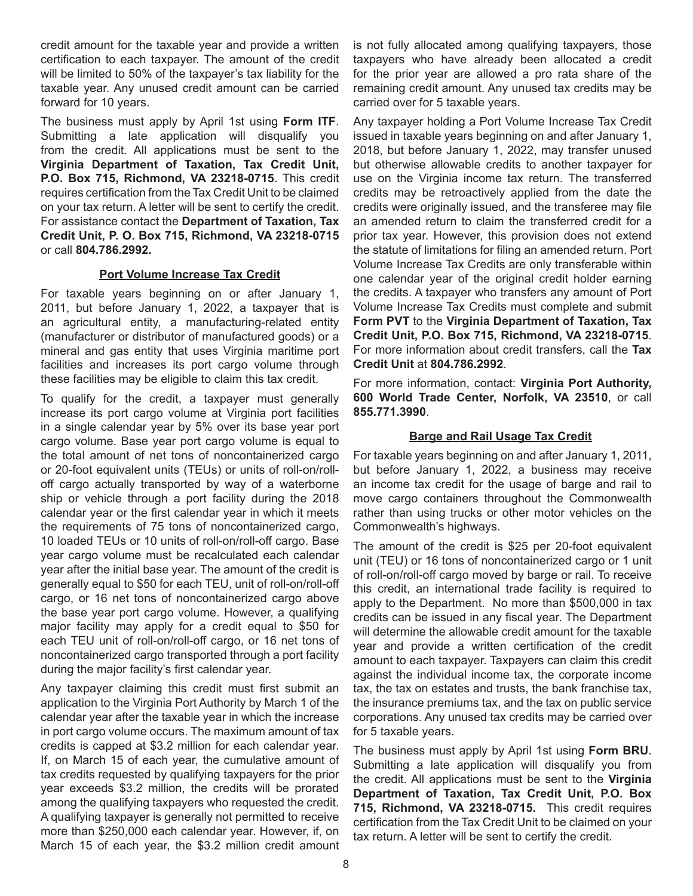credit amount for the taxable year and provide a written certification to each taxpayer. The amount of the credit will be limited to 50% of the taxpayer's tax liability for the taxable year. Any unused credit amount can be carried forward for 10 years.

The business must apply by April 1st using **Form ITF**. Submitting a late application will disqualify you from the credit. All applications must be sent to the **Virginia Department of Taxation, Tax Credit Unit, P.O. Box 715, Richmond, VA 23218-0715**. This credit requires certification from the Tax Credit Unit to be claimed on your tax return. A letter will be sent to certify the credit. For assistance contact the **Department of Taxation, Tax Credit Unit, P. O. Box 715, Richmond, VA 23218-0715**  or call **804.786.2992.**

## **Port Volume Increase Tax Credit**

For taxable years beginning on or after January 1, 2011, but before January 1, 2022, a taxpayer that is an agricultural entity, a manufacturing-related entity (manufacturer or distributor of manufactured goods) or a mineral and gas entity that uses Virginia maritime port facilities and increases its port cargo volume through these facilities may be eligible to claim this tax credit.

To qualify for the credit, a taxpayer must generally increase its port cargo volume at Virginia port facilities in a single calendar year by 5% over its base year port cargo volume. Base year port cargo volume is equal to the total amount of net tons of noncontainerized cargo or 20-foot equivalent units (TEUs) or units of roll-on/rolloff cargo actually transported by way of a waterborne ship or vehicle through a port facility during the 2018 calendar year or the first calendar year in which it meets the requirements of 75 tons of noncontainerized cargo, 10 loaded TEUs or 10 units of roll-on/roll-off cargo. Base year cargo volume must be recalculated each calendar year after the initial base year. The amount of the credit is generally equal to \$50 for each TEU, unit of roll-on/roll-off cargo, or 16 net tons of noncontainerized cargo above the base year port cargo volume. However, a qualifying major facility may apply for a credit equal to \$50 for each TEU unit of roll-on/roll-off cargo, or 16 net tons of noncontainerized cargo transported through a port facility during the major facility's first calendar year.

Any taxpayer claiming this credit must first submit an application to the Virginia Port Authority by March 1 of the calendar year after the taxable year in which the increase in port cargo volume occurs. The maximum amount of tax credits is capped at \$3.2 million for each calendar year. If, on March 15 of each year, the cumulative amount of tax credits requested by qualifying taxpayers for the prior year exceeds \$3.2 million, the credits will be prorated among the qualifying taxpayers who requested the credit. A qualifying taxpayer is generally not permitted to receive more than \$250,000 each calendar year. However, if, on March 15 of each year, the \$3.2 million credit amount is not fully allocated among qualifying taxpayers, those taxpayers who have already been allocated a credit for the prior year are allowed a pro rata share of the remaining credit amount. Any unused tax credits may be carried over for 5 taxable years.

Any taxpayer holding a Port Volume Increase Tax Credit issued in taxable years beginning on and after January 1, 2018, but before January 1, 2022, may transfer unused but otherwise allowable credits to another taxpayer for use on the Virginia income tax return. The transferred credits may be retroactively applied from the date the credits were originally issued, and the transferee may file an amended return to claim the transferred credit for a prior tax year. However, this provision does not extend the statute of limitations for filing an amended return. Port Volume Increase Tax Credits are only transferable within one calendar year of the original credit holder earning the credits. A taxpayer who transfers any amount of Port Volume Increase Tax Credits must complete and submit **Form PVT** to the **Virginia Department of Taxation, Tax Credit Unit, P.O. Box 715, Richmond, VA 23218-0715**. For more information about credit transfers, call the **Tax Credit Unit** at **804.786.2992**.

For more information, contact: **Virginia Port Authority, 600 World Trade Center, Norfolk, VA 23510**, or call **855.771.3990**.

# **Barge and Rail Usage Tax Credit**

For taxable years beginning on and after January 1, 2011, but before January 1, 2022, a business may receive an income tax credit for the usage of barge and rail to move cargo containers throughout the Commonwealth rather than using trucks or other motor vehicles on the Commonwealth's highways.

The amount of the credit is \$25 per 20-foot equivalent unit (TEU) or 16 tons of noncontainerized cargo or 1 unit of roll-on/roll-off cargo moved by barge or rail. To receive this credit, an international trade facility is required to apply to the Department. No more than \$500,000 in tax credits can be issued in any fiscal year. The Department will determine the allowable credit amount for the taxable year and provide a written certification of the credit amount to each taxpayer. Taxpayers can claim this credit against the individual income tax, the corporate income tax, the tax on estates and trusts, the bank franchise tax, the insurance premiums tax, and the tax on public service corporations. Any unused tax credits may be carried over for 5 taxable years.

The business must apply by April 1st using **Form BRU**. Submitting a late application will disqualify you from the credit. All applications must be sent to the **Virginia Department of Taxation, Tax Credit Unit, P.O. Box 715, Richmond, VA 23218-0715.** This credit requires certification from the Tax Credit Unit to be claimed on your tax return. A letter will be sent to certify the credit.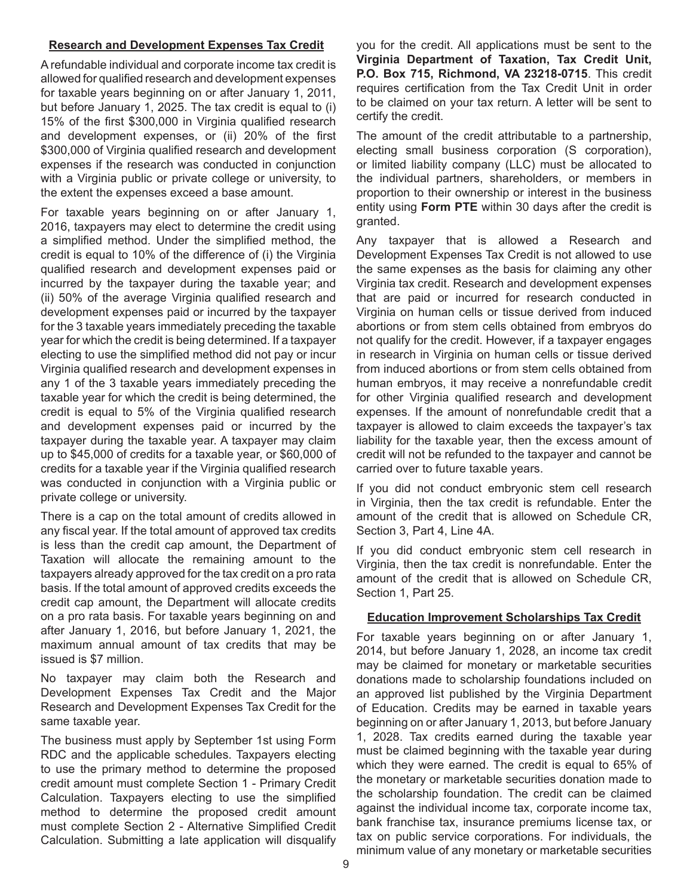### **Research and Development Expenses Tax Credit**

A refundable individual and corporate income tax credit is allowed for qualified research and development expenses for taxable years beginning on or after January 1, 2011, but before January 1, 2025. The tax credit is equal to (i) 15% of the first \$300,000 in Virginia qualified research and development expenses, or (ii) 20% of the first \$300,000 of Virginia qualified research and development expenses if the research was conducted in conjunction with a Virginia public or private college or university, to the extent the expenses exceed a base amount.

For taxable years beginning on or after January 1, 2016, taxpayers may elect to determine the credit using a simplified method. Under the simplified method, the credit is equal to 10% of the difference of (i) the Virginia qualified research and development expenses paid or incurred by the taxpayer during the taxable year; and (ii) 50% of the average Virginia qualified research and development expenses paid or incurred by the taxpayer for the 3 taxable years immediately preceding the taxable year for which the credit is being determined. If a taxpayer electing to use the simplified method did not pay or incur Virginia qualified research and development expenses in any 1 of the 3 taxable years immediately preceding the taxable year for which the credit is being determined, the credit is equal to 5% of the Virginia qualified research and development expenses paid or incurred by the taxpayer during the taxable year. A taxpayer may claim up to \$45,000 of credits for a taxable year, or \$60,000 of credits for a taxable year if the Virginia qualified research was conducted in conjunction with a Virginia public or private college or university.

There is a cap on the total amount of credits allowed in any fiscal year. If the total amount of approved tax credits is less than the credit cap amount, the Department of Taxation will allocate the remaining amount to the taxpayers already approved for the tax credit on a pro rata basis. If the total amount of approved credits exceeds the credit cap amount, the Department will allocate credits on a pro rata basis. For taxable years beginning on and after January 1, 2016, but before January 1, 2021, the maximum annual amount of tax credits that may be issued is \$7 million.

No taxpayer may claim both the Research and Development Expenses Tax Credit and the Major Research and Development Expenses Tax Credit for the same taxable year.

The business must apply by September 1st using Form RDC and the applicable schedules. Taxpayers electing to use the primary method to determine the proposed credit amount must complete Section 1 - Primary Credit Calculation. Taxpayers electing to use the simplified method to determine the proposed credit amount must complete Section 2 - Alternative Simplified Credit Calculation. Submitting a late application will disqualify

you for the credit. All applications must be sent to the **Virginia Department of Taxation, Tax Credit Unit, P.O. Box 715, Richmond, VA 23218-0715**. This credit requires certification from the Tax Credit Unit in order to be claimed on your tax return. A letter will be sent to certify the credit.

The amount of the credit attributable to a partnership, electing small business corporation (S corporation), or limited liability company (LLC) must be allocated to the individual partners, shareholders, or members in proportion to their ownership or interest in the business entity using **Form PTE** within 30 days after the credit is granted.

Any taxpayer that is allowed a Research and Development Expenses Tax Credit is not allowed to use the same expenses as the basis for claiming any other Virginia tax credit. Research and development expenses that are paid or incurred for research conducted in Virginia on human cells or tissue derived from induced abortions or from stem cells obtained from embryos do not qualify for the credit. However, if a taxpayer engages in research in Virginia on human cells or tissue derived from induced abortions or from stem cells obtained from human embryos, it may receive a nonrefundable credit for other Virginia qualified research and development expenses. If the amount of nonrefundable credit that a taxpayer is allowed to claim exceeds the taxpayer's tax liability for the taxable year, then the excess amount of credit will not be refunded to the taxpayer and cannot be carried over to future taxable years.

If you did not conduct embryonic stem cell research in Virginia, then the tax credit is refundable. Enter the amount of the credit that is allowed on Schedule CR, Section 3, Part 4, Line 4A.

If you did conduct embryonic stem cell research in Virginia, then the tax credit is nonrefundable. Enter the amount of the credit that is allowed on Schedule CR, Section 1, Part 25.

## **Education Improvement Scholarships Tax Credit**

For taxable years beginning on or after January 1, 2014, but before January 1, 2028, an income tax credit may be claimed for monetary or marketable securities donations made to scholarship foundations included on an approved list published by the Virginia Department of Education. Credits may be earned in taxable years beginning on or after January 1, 2013, but before January 1, 2028. Tax credits earned during the taxable year must be claimed beginning with the taxable year during which they were earned. The credit is equal to 65% of the monetary or marketable securities donation made to the scholarship foundation. The credit can be claimed against the individual income tax, corporate income tax, bank franchise tax, insurance premiums license tax, or tax on public service corporations. For individuals, the minimum value of any monetary or marketable securities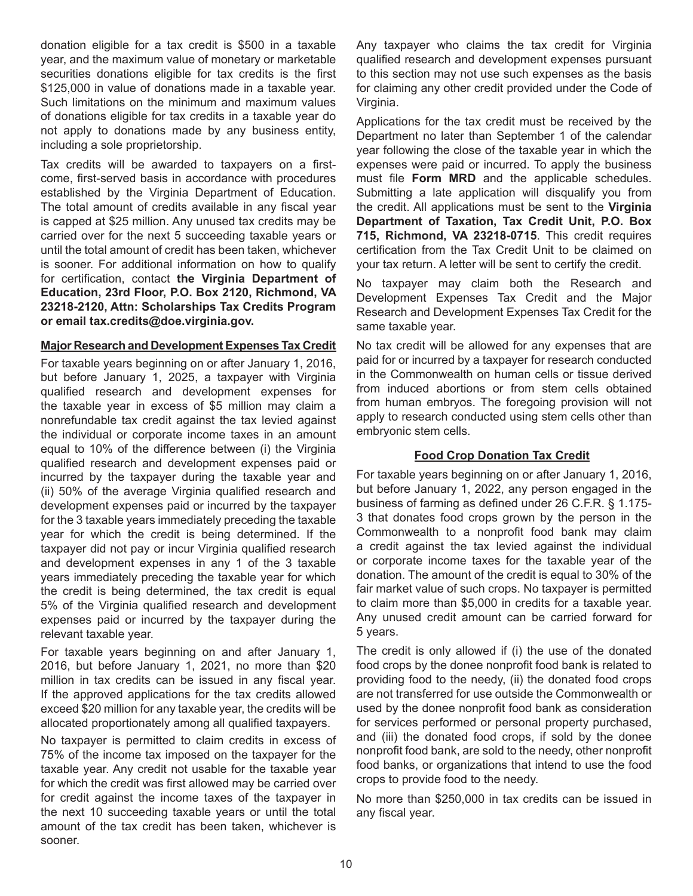donation eligible for a tax credit is \$500 in a taxable year, and the maximum value of monetary or marketable securities donations eligible for tax credits is the first \$125,000 in value of donations made in a taxable year. Such limitations on the minimum and maximum values of donations eligible for tax credits in a taxable year do not apply to donations made by any business entity, including a sole proprietorship.

Tax credits will be awarded to taxpayers on a firstcome, first-served basis in accordance with procedures established by the Virginia Department of Education. The total amount of credits available in any fiscal year is capped at \$25 million. Any unused tax credits may be carried over for the next 5 succeeding taxable years or until the total amount of credit has been taken, whichever is sooner. For additional information on how to qualify for certification, contact **the Virginia Department of Education, 23rd Floor, P.O. Box 2120, Richmond, VA 23218-2120, Attn: Scholarships Tax Credits Program or email tax.credits@doe.virginia.gov.**

#### **Major Research and Development Expenses Tax Credit**

For taxable years beginning on or after January 1, 2016, but before January 1, 2025, a taxpayer with Virginia qualified research and development expenses for the taxable year in excess of \$5 million may claim a nonrefundable tax credit against the tax levied against the individual or corporate income taxes in an amount equal to 10% of the difference between (i) the Virginia qualified research and development expenses paid or incurred by the taxpayer during the taxable year and (ii) 50% of the average Virginia qualified research and development expenses paid or incurred by the taxpayer for the 3 taxable years immediately preceding the taxable year for which the credit is being determined. If the taxpayer did not pay or incur Virginia qualified research and development expenses in any 1 of the 3 taxable years immediately preceding the taxable year for which the credit is being determined, the tax credit is equal 5% of the Virginia qualified research and development expenses paid or incurred by the taxpayer during the relevant taxable year.

For taxable years beginning on and after January 1, 2016, but before January 1, 2021, no more than \$20 million in tax credits can be issued in any fiscal year. If the approved applications for the tax credits allowed exceed \$20 million for any taxable year, the credits will be allocated proportionately among all qualified taxpayers.

No taxpayer is permitted to claim credits in excess of 75% of the income tax imposed on the taxpayer for the taxable year. Any credit not usable for the taxable year for which the credit was first allowed may be carried over for credit against the income taxes of the taxpayer in the next 10 succeeding taxable years or until the total amount of the tax credit has been taken, whichever is sooner.

Any taxpayer who claims the tax credit for Virginia qualified research and development expenses pursuant to this section may not use such expenses as the basis for claiming any other credit provided under the Code of Virginia.

Applications for the tax credit must be received by the Department no later than September 1 of the calendar year following the close of the taxable year in which the expenses were paid or incurred. To apply the business must file **Form MRD** and the applicable schedules. Submitting a late application will disqualify you from the credit. All applications must be sent to the **Virginia Department of Taxation, Tax Credit Unit, P.O. Box 715, Richmond, VA 23218-0715**. This credit requires certification from the Tax Credit Unit to be claimed on your tax return. A letter will be sent to certify the credit.

No taxpayer may claim both the Research and Development Expenses Tax Credit and the Major Research and Development Expenses Tax Credit for the same taxable year.

No tax credit will be allowed for any expenses that are paid for or incurred by a taxpayer for research conducted in the Commonwealth on human cells or tissue derived from induced abortions or from stem cells obtained from human embryos. The foregoing provision will not apply to research conducted using stem cells other than embryonic stem cells.

# **Food Crop Donation Tax Credit**

For taxable years beginning on or after January 1, 2016, but before January 1, 2022, any person engaged in the business of farming as defined under 26 C.F.R. § 1.175- 3 that donates food crops grown by the person in the Commonwealth to a nonprofit food bank may claim a credit against the tax levied against the individual or corporate income taxes for the taxable year of the donation. The amount of the credit is equal to 30% of the fair market value of such crops. No taxpayer is permitted to claim more than \$5,000 in credits for a taxable year. Any unused credit amount can be carried forward for 5 years.

The credit is only allowed if (i) the use of the donated food crops by the donee nonprofit food bank is related to providing food to the needy, (ii) the donated food crops are not transferred for use outside the Commonwealth or used by the donee nonprofit food bank as consideration for services performed or personal property purchased, and (iii) the donated food crops, if sold by the donee nonprofit food bank, are sold to the needy, other nonprofit food banks, or organizations that intend to use the food crops to provide food to the needy.

No more than \$250,000 in tax credits can be issued in any fiscal year.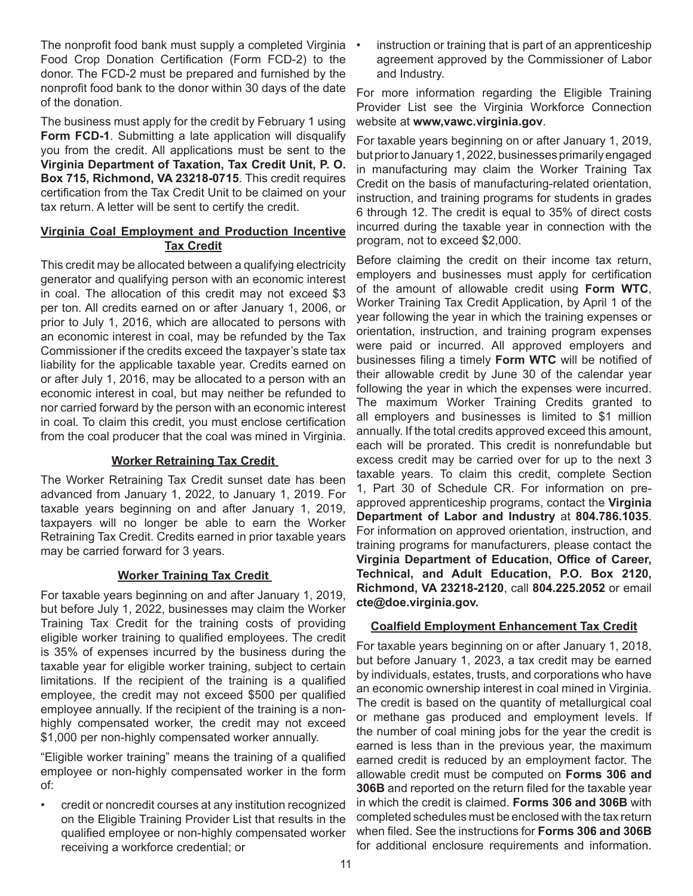The nonprofit food bank must supply a completed Virginia • Food Crop Donation Certification (Form FCD-2) to the donor. The FCD-2 must be prepared and furnished by the nonprofit food bank to the donor within 30 days of the date of the donation.

The business must apply for the credit by February 1 using **Form FCD-1.** Submitting a late application will disqualify you from the credit. All applications must be sent to the **Virginia Department of Taxation, Tax Credit Unit, P. O. Box 715, Richmond, VA 23218-0715**. This credit requires certification from the Tax Credit Unit to be claimed on your tax return. A letter will be sent to certify the credit.

## **Virginia Coal Employment and Production Incentive Tax Credit**

This credit may be allocated between a qualifying electricity generator and qualifying person with an economic interest in coal. The allocation of this credit may not exceed \$3 per ton. All credits earned on or after January 1, 2006, or prior to July 1, 2016, which are allocated to persons with an economic interest in coal, may be refunded by the Tax Commissioner if the credits exceed the taxpayer's state tax liability for the applicable taxable year. Credits earned on or after July 1, 2016, may be allocated to a person with an economic interest in coal, but may neither be refunded to nor carried forward by the person with an economic interest in coal. To claim this credit, you must enclose certification from the coal producer that the coal was mined in Virginia.

## **Worker Retraining Tax Credit**

The Worker Retraining Tax Credit sunset date has been advanced from January 1, 2022, to January 1, 2019. For taxable years beginning on and after January 1, 2019, taxpayers will no longer be able to earn the Worker Retraining Tax Credit. Credits earned in prior taxable years may be carried forward for 3 years.

## **Worker Training Tax Credit**

For taxable years beginning on and after January 1, 2019, but before July 1, 2022, businesses may claim the Worker Training Tax Credit for the training costs of providing eligible worker training to qualified employees. The credit is 35% of expenses incurred by the business during the taxable year for eligible worker training, subject to certain limitations. If the recipient of the training is a qualified employee, the credit may not exceed \$500 per qualified employee annually. If the recipient of the training is a nonhighly compensated worker, the credit may not exceed \$1,000 per non-highly compensated worker annually.

"Eligible worker training" means the training of a qualified employee or non-highly compensated worker in the form of:

• credit or noncredit courses at any institution recognized on the Eligible Training Provider List that results in the qualified employee or non-highly compensated worker receiving a workforce credential; or

instruction or training that is part of an apprenticeship agreement approved by the Commissioner of Labor and Industry.

For more information regarding the Eligible Training Provider List see the Virginia Workforce Connection website at **www,vawc.virginia.gov**.

For taxable years beginning on or after January 1, 2019, but prior to January 1, 2022, businesses primarily engaged in manufacturing may claim the Worker Training Tax Credit on the basis of manufacturing-related orientation, instruction, and training programs for students in grades 6 through 12. The credit is equal to 35% of direct costs incurred during the taxable year in connection with the program, not to exceed \$2,000.

Before claiming the credit on their income tax return, employers and businesses must apply for certification of the amount of allowable credit using **Form WTC**, Worker Training Tax Credit Application, by April 1 of the year following the year in which the training expenses or orientation, instruction, and training program expenses were paid or incurred. All approved employers and businesses filing a timely **Form WTC** will be notified of their allowable credit by June 30 of the calendar year following the year in which the expenses were incurred. The maximum Worker Training Credits granted to all employers and businesses is limited to \$1 million annually. If the total credits approved exceed this amount, each will be prorated. This credit is nonrefundable but excess credit may be carried over for up to the next 3 taxable years. To claim this credit, complete Section 1, Part 30 of Schedule CR. For information on preapproved apprenticeship programs, contact the **Virginia Department of Labor and Industry** at **804.786.1035**. For information on approved orientation, instruction, and training programs for manufacturers, please contact the **Virginia Department of Education, Office of Career, Technical, and Adult Education, P.O. Box 2120, Richmond, VA 23218-2120**, call **804.225.2052** or email **cte@doe.virginia.gov.**

## **Coalfield Employment Enhancement Tax Credit**

For taxable years beginning on or after January 1, 2018, but before January 1, 2023, a tax credit may be earned by individuals, estates, trusts, and corporations who have an economic ownership interest in coal mined in Virginia. The credit is based on the quantity of metallurgical coal or methane gas produced and employment levels. If the number of coal mining jobs for the year the credit is earned is less than in the previous year, the maximum earned credit is reduced by an employment factor. The allowable credit must be computed on **Forms 306 and 306B** and reported on the return filed for the taxable year in which the credit is claimed. **Forms 306 and 306B** with completed schedules must be enclosed with the tax return when filed. See the instructions for **Forms 306 and 306B** for additional enclosure requirements and information.